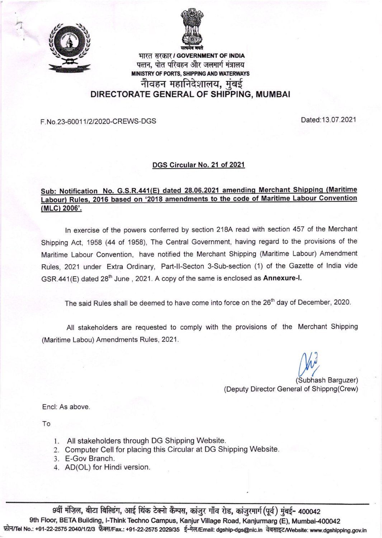



MMI<br>सत्यमेव जयते<br>भारत सरकार / GOVERNMENT OF INDIA पत्तन, पोत परिवहन और जलमार्ग मंत्रालय MINISTRY OF PORTS, SHIPPING AND WATERWAYS नौवहन महानिदेशालय, मुंबई

DIRECTORATE GENERAL OF SHIPPING, MUMBAI

F. No. 23-60011/2/2020-CREWS-DGS DEVELOPED A Dated:13.07.2021

## DGS Circular No. 21 of 2021

## Sub: Notification No. G.S.R.441(E) dated 28.06.2021 amending Merchant Shipping (Maritime Labour) Rules, 2016 based on '2018 amendments to the code of Maritime Labour Convention (MLC) 2006'.

ln exercise of the powers confened by section 218A read with section 457 of the Merchant Shipping Act, 1958 (44 of 1958), The Central Government, having regard to the provisions of the Maritime Labour Convention, have notified the Merchant Shipping (Maritime Labour) Amendment Rules, 2021 under Extra Ordinary, Part-ll-Secton 3-Sub-section (1) of the Gazette of lndia vide GSR.441(E) dated 28<sup>th</sup> June, 2021. A copy of the same is enclosed as **Annexure-I.** 

The said Rules shall be deemed to have come into force on the 26<sup>th</sup> day of December, 2020.

AII stakeholders are requested to comply with the provisions of the Merchant Shipping (Maritime Labou) Amendments Rules, 2021 .

(Subhash Barguzer) (Deputy Director General of Shippng(Crew)

Encl: As above

To

- 1. All stakeholders through DG Shipping Website.
- 2. Computer Cell for placing this Circular at DG Shipping Website
- 3. E-Gov Branch.
- 4. AD(OL) for Hindi version.

9वीं मंज़िल, बीटा बिल्डिंग, आई थिंक टेक्नो कैम्पस, कांजुर गाँव रोड, कांजुरमार्ग (पूर्व) मुंबई- 400042 9th Floor, BETA Building, I-Think Techno Campus, Kanjur Village Road, Kanjurmarg (E), Mumbai-400042 फ़ोन/Tel No.: +91-22-2575 2040/1/2/3 फ़ैक्स/Fax.: +91-22-2575 2029/35 ई-मेल/Email: dgship-dgs@nic.in वेबसाइट/Website: www.dgshipping.gov.in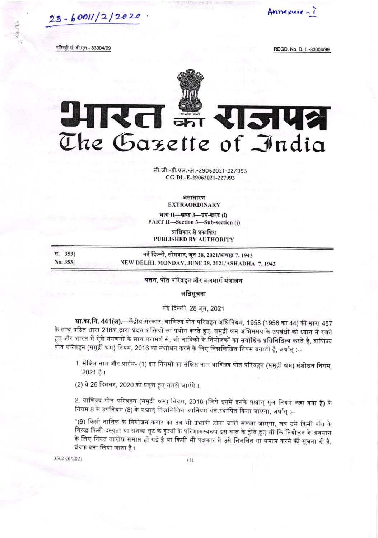$23 - 6001/2/2020$ 

रजिस्ट्री सं. डी.एल.- 33004/99

REGD. No. D. L.-33004/99

Annexure - 1



सी.जी.-डी.एल.-अ.-29062021-227993 CG-DL-E-29062021-227993

> असाधारण **EXTRAORDINARY**

भाग II-खण्ड 3-उप-खण्ड (i) PART II-Section 3-Sub-section (i)

प्राधिकार से प्रकाशित **PUBLISHED BY AUTHORITY** 

सं. 3531 No. 353]

नई दिल्ली, सोमवार, जून 28, 2021/आषाढ़ 7, 1943 NEW DELHI, MONDAY, JUNE 28, 2021/ASHADHA 7, 1943

पत्तन, पोत परिवहन और जलमार्ग मंत्रालय

अधिसूचना

नई दिल्ली, 28 जून, 2021

सा.का.नि. 441(अ).—केंद्रीय सरकार, वाणिज्य पोत परिवहन अधिनियम, 1958 (1958 का 44) की धारा 457 के साथ पठित धारा 218क द्वारा प्रदत्त शक्तियों का प्रयोग करते हुए, समुद्री श्रम अभिसमय के उपबंधों को ध्यान में रखते हुए और भारत में ऐसे संगणनों के साथ परामर्श से, जो नाविकों के नियोजकों का सर्वाधिक प्रतिनिधित्व करते हैं, वाणिज्य पोत परिवहन (समुद्री श्रम) नियम, 2016 का संशोधन करने के लिए निम्नलिखित नियम बनाती है, अर्थात् :--

- 1. संक्षिप्त नाम और प्रारंभ- (1) इन नियमों का संक्षिप्त नाम वाणिज्य पोत परिवहन (समुद्री श्रम) संशोधन नियम, 2021 है।
- (2) ये 26 दिसंबर, 2020 को प्रवृत्त हुए समझे जाएंगे ।

2. वाणिज्य पोत परिवहन (समुद्री श्रम) नियम, 2016 (जिसे इसमें इसके पश्चात् मूल नियम कहा गया है) के नियम 8 के उपनियम (8) के पश्चात् निम्नलिखित उपनियम अंत:स्थापित किया जाएगा, अर्थात् :--

''(9) किसी नाविक के नियोजन करार का तब भी प्रभावी होना जारी समझा जाएगा, जब उसे किसी पोत के विरुद्ध किसी दस्युता या सशस्त्र लूट के कृत्यों के परिणामस्वरूप इस बात के होते हुए भी कि नियोजन के अवसान के लिए नियत तारीख समाप्त हो गई है या किसी भी पक्षकार ने उसे निलंबित या समाप्त करने की सूचना दी है, बंधक बना लिया जाता है ।

3562 GI/2021

 $(1)$